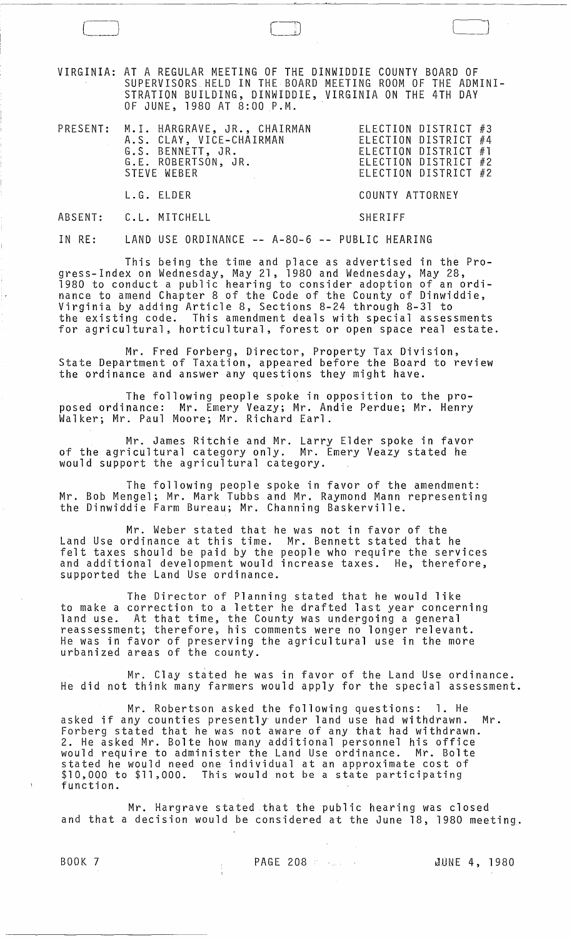VIRGINIA: AT A REGULAR MEETING OF THE DINWIDDIE COUNTY BOARD OF SUPERVISORS HELD IN THE BOARD MEETING ROOM OF THE ADMINI-STRATION BUILDING, DINWIDDIE, VIRGINIA ON THE 4TH DAY OF JUNE, 1980 AT 8:00 P.M.

| PRESENT: M.I. HARGRAVE, JR., CHAIRMAN<br>A.S. CLAY, VICE-CHAIRMAN<br>G.S. BENNETT, JR.<br>G.E. ROBERTSON, JR.<br>STEVE WEBER | ELECTION DISTRICT #3<br>ELECTION DISTRICT #4<br>ELECTION DISTRICT #1<br>ELECTION DISTRICT #2<br>ELECTION DISTRICT #2 |
|------------------------------------------------------------------------------------------------------------------------------|----------------------------------------------------------------------------------------------------------------------|
| L.G. ELDER                                                                                                                   | COUNTY ATTORNEY                                                                                                      |

SHERIFF

ABSENT: C.L. MITCHELL

 $\begin{pmatrix} \frac{1}{2} & \frac{1}{2} \\ \frac{1}{2} & \frac{1}{2} \end{pmatrix}$ 

IN RE: LAND USE ORDINANCE **--** A-80-6 **--** PUBLIC HEARING

This being the time and place as advertised in the Progress-Index on Wednesday, May 21, 1980 and Wednesday, May 28, 1980 to conduct a public hearing to consider adoption of an ordinance to amend Chapter 8 of the Code of the County of Dinwiddie, Virginia by adding Article 8, Sections 8-24 through 8-31 to the existing code. This amendment deals with special assessments for agricultural, horticultural, forest or open space real estate.

Mr. Fred Forberg, Director, Property Tax Division, State Department of Taxation, appeared before the Board to review the ordinance and answer any questions they might have.

The following people spoke in opposition to the proposed ordinance: Mr. Emery Veazy; Mr. Andie Perdue; Mr. Henry Wal ker; Mr. Paul Moore; Mr. Richard Earl.

Mr. James Ritchie and Mr. Larry Elder spoke in favor of the agricultural category only. Mr. Emery Veazy stated he would support the agricultural category.

The following people spoke in favor of the amendment: Mr. Bob Mengel; Mr. Mark Tubbs and Mr. Raymond Mann representing the Dinwiddie Farm Bureau; Mr. Channing Baskerville.

Mr. Weber stated that he was not in favor of the Land Use ordinance at this time. Mr. Bennett stated that he felt taxes should be paid by the people who require the services and additional development would increase taxes. He, therefore, supported the Land Use ordinance.

The Director of Planning stated that he would like to make a correction to a letter he drafted last year concerning land use. At that time, the County was undergoing a general reassessment; therefore, his comments were no longer relevant. He was in favor of preserving the agricultural use in the more urbanized areas of the county.

Mr. Clay stated he was in favor of the Land Use ordinance. He did not think many farmers would apply for the special assessment.

Mr. Robertson asked the following questions: 1. He asked if any counties presently under land use had withdrawn. Mr. Forberg stated that he was not aware of any that had withdrawn. 2. He asked Mr. Bolte how many additional personnel his office would require to administer the Land Use ordinance. Mr. Bolte stated he would need one individual at an approximate cost of \$10,000 to \$11,000. This would not be a state participating function.

Mr. Hargrave stated that the public hearing was closed and that a decision would be considered at the June 18, 1980 meeting.

BOOK 7 PAGE 208 \lUNE 4, 1980